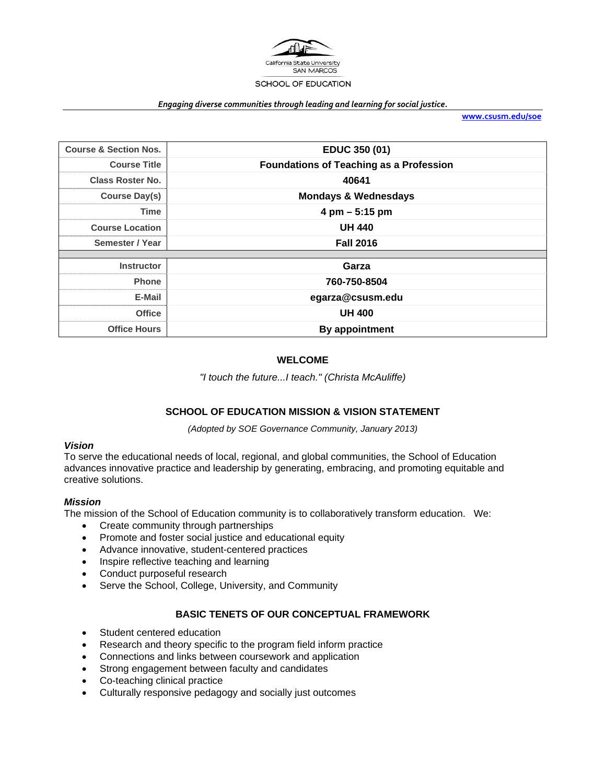

#### *Engaging diverse communities through leading and learning for social justice.*

**www.csusm.edu/soe**

| <b>Course &amp; Section Nos.</b> | EDUC 350 (01)                                  |
|----------------------------------|------------------------------------------------|
| <b>Course Title</b>              | <b>Foundations of Teaching as a Profession</b> |
| <b>Class Roster No.</b>          | 40641                                          |
| <b>Course Day(s)</b>             | <b>Mondays &amp; Wednesdays</b>                |
| Time                             | $4 \text{ pm} - 5:15 \text{ pm}$               |
| <b>Course Location</b>           | <b>UH 440</b>                                  |
| Semester / Year                  | <b>Fall 2016</b>                               |
|                                  |                                                |
| <b>Instructor</b>                | Garza                                          |
| <b>Phone</b>                     | 760-750-8504                                   |
| E-Mail                           | egarza@csusm.edu                               |
| <b>Office</b>                    | <b>UH 400</b>                                  |
| <b>Office Hours</b>              | By appointment                                 |

### **WELCOME**

*"I touch the future...I teach." (Christa McAuliffe)* 

### **SCHOOL OF EDUCATION MISSION & VISION STATEMENT**

*(Adopted by SOE Governance Community, January 2013)* 

#### *Vision*

To serve the educational needs of local, regional, and global communities, the School of Education advances innovative practice and leadership by generating, embracing, and promoting equitable and creative solutions.

#### *Mission*

The mission of the School of Education community is to collaboratively transform education. We:

- Create community through partnerships
- Promote and foster social justice and educational equity
- Advance innovative, student-centered practices
- Inspire reflective teaching and learning
- Conduct purposeful research
- Serve the School, College, University, and Community

# **BASIC TENETS OF OUR CONCEPTUAL FRAMEWORK**

- Student centered education
- Research and theory specific to the program field inform practice
- Connections and links between coursework and application
- Strong engagement between faculty and candidates
- Co-teaching clinical practice
- Culturally responsive pedagogy and socially just outcomes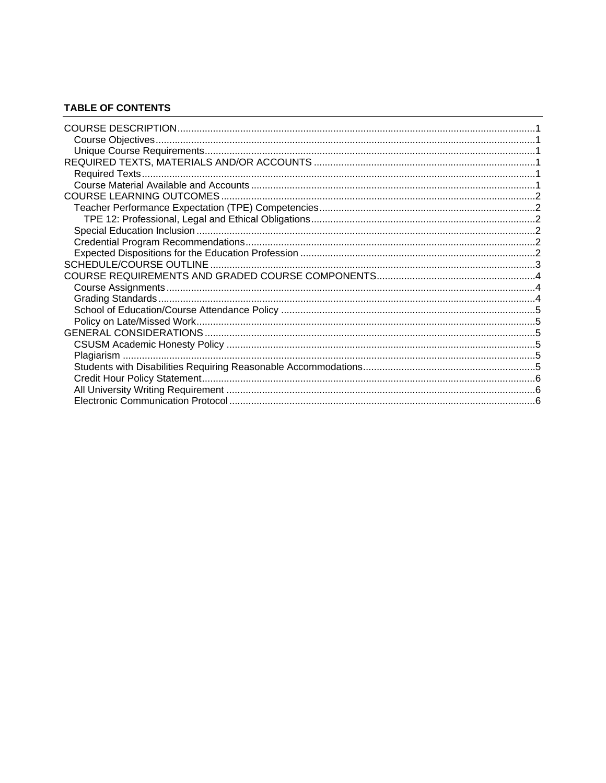#### **TABLE OF CONTENTS**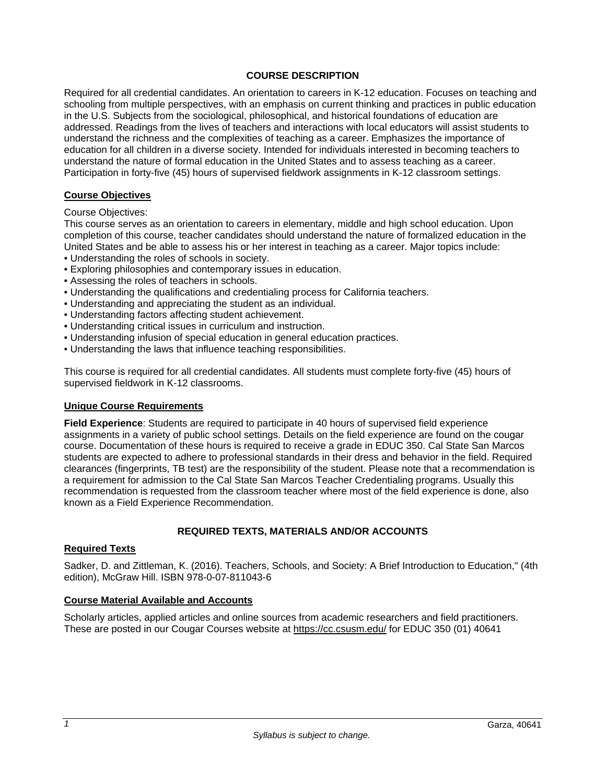### **COURSE DESCRIPTION**

Required for all credential candidates. An orientation to careers in K-12 education. Focuses on teaching and schooling from multiple perspectives, with an emphasis on current thinking and practices in public education in the U.S. Subjects from the sociological, philosophical, and historical foundations of education are addressed. Readings from the lives of teachers and interactions with local educators will assist students to understand the richness and the complexities of teaching as a career. Emphasizes the importance of education for all children in a diverse society. Intended for individuals interested in becoming teachers to understand the nature of formal education in the United States and to assess teaching as a career. Participation in forty-five (45) hours of supervised fieldwork assignments in K-12 classroom settings.

### **Course Objectives**

Course Objectives:

This course serves as an orientation to careers in elementary, middle and high school education. Upon completion of this course, teacher candidates should understand the nature of formalized education in the United States and be able to assess his or her interest in teaching as a career. Major topics include:

- Understanding the roles of schools in society.
- Exploring philosophies and contemporary issues in education.
- Assessing the roles of teachers in schools.
- Understanding the qualifications and credentialing process for California teachers.
- Understanding and appreciating the student as an individual.
- Understanding factors affecting student achievement.
- Understanding critical issues in curriculum and instruction.
- Understanding infusion of special education in general education practices.
- Understanding the laws that influence teaching responsibilities.

This course is required for all credential candidates. All students must complete forty-five (45) hours of supervised fieldwork in K-12 classrooms.

### **Unique Course Requirements**

**Field Experience**: Students are required to participate in 40 hours of supervised field experience assignments in a variety of public school settings. Details on the field experience are found on the cougar course. Documentation of these hours is required to receive a grade in EDUC 350. Cal State San Marcos students are expected to adhere to professional standards in their dress and behavior in the field. Required clearances (fingerprints, TB test) are the responsibility of the student. Please note that a recommendation is a requirement for admission to the Cal State San Marcos Teacher Credentialing programs. Usually this recommendation is requested from the classroom teacher where most of the field experience is done, also known as a Field Experience Recommendation.

### **REQUIRED TEXTS, MATERIALS AND/OR ACCOUNTS**

### **Required Texts**

Sadker, D. and Zittleman, K. (2016). Teachers, Schools, and Society: A Brief Introduction to Education," (4th edition), McGraw Hill. ISBN 978-0-07-811043-6

#### **Course Material Available and Accounts**

Scholarly articles, applied articles and online sources from academic researchers and field practitioners. These are posted in our Cougar Courses website at https://cc.csusm.edu/ for EDUC 350 (01) 40641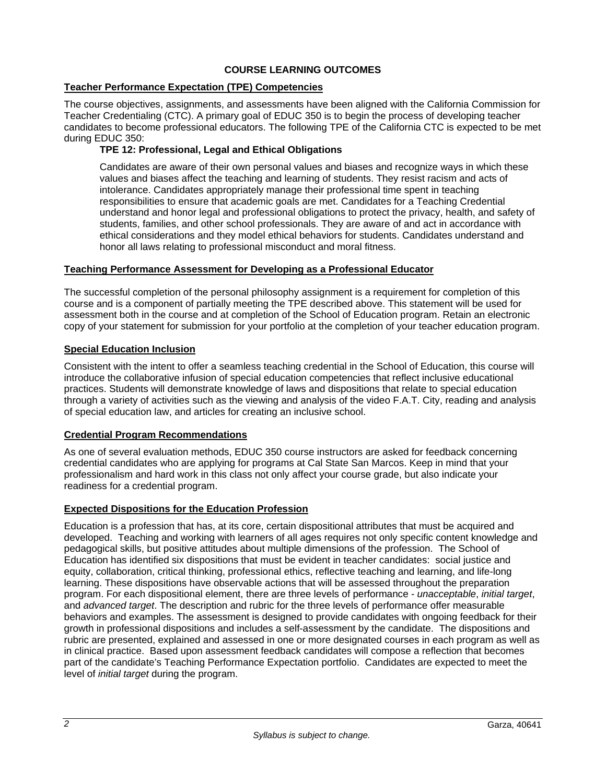# **COURSE LEARNING OUTCOMES**

# **Teacher Performance Expectation (TPE) Competencies**

The course objectives, assignments, and assessments have been aligned with the California Commission for Teacher Credentialing (CTC). A primary goal of EDUC 350 is to begin the process of developing teacher candidates to become professional educators. The following TPE of the California CTC is expected to be met during EDUC 350:

# **TPE 12: Professional, Legal and Ethical Obligations**

Candidates are aware of their own personal values and biases and recognize ways in which these values and biases affect the teaching and learning of students. They resist racism and acts of intolerance. Candidates appropriately manage their professional time spent in teaching responsibilities to ensure that academic goals are met. Candidates for a Teaching Credential understand and honor legal and professional obligations to protect the privacy, health, and safety of students, families, and other school professionals. They are aware of and act in accordance with ethical considerations and they model ethical behaviors for students. Candidates understand and honor all laws relating to professional misconduct and moral fitness.

### **Teaching Performance Assessment for Developing as a Professional Educator**

The successful completion of the personal philosophy assignment is a requirement for completion of this course and is a component of partially meeting the TPE described above. This statement will be used for assessment both in the course and at completion of the School of Education program. Retain an electronic copy of your statement for submission for your portfolio at the completion of your teacher education program.

### **Special Education Inclusion**

Consistent with the intent to offer a seamless teaching credential in the School of Education, this course will introduce the collaborative infusion of special education competencies that reflect inclusive educational practices. Students will demonstrate knowledge of laws and dispositions that relate to special education through a variety of activities such as the viewing and analysis of the video F.A.T. City, reading and analysis of special education law, and articles for creating an inclusive school.

### **Credential Program Recommendations**

As one of several evaluation methods, EDUC 350 course instructors are asked for feedback concerning credential candidates who are applying for programs at Cal State San Marcos. Keep in mind that your professionalism and hard work in this class not only affect your course grade, but also indicate your readiness for a credential program.

### **Expected Dispositions for the Education Profession**

Education is a profession that has, at its core, certain dispositional attributes that must be acquired and developed. Teaching and working with learners of all ages requires not only specific content knowledge and pedagogical skills, but positive attitudes about multiple dimensions of the profession. The School of Education has identified six dispositions that must be evident in teacher candidates: social justice and equity, collaboration, critical thinking, professional ethics, reflective teaching and learning, and life-long learning. These dispositions have observable actions that will be assessed throughout the preparation program. For each dispositional element, there are three levels of performance - *unacceptable*, *initial target*, and *advanced target*. The description and rubric for the three levels of performance offer measurable behaviors and examples. The assessment is designed to provide candidates with ongoing feedback for their growth in professional dispositions and includes a self-assessment by the candidate. The dispositions and rubric are presented, explained and assessed in one or more designated courses in each program as well as in clinical practice. Based upon assessment feedback candidates will compose a reflection that becomes part of the candidate's Teaching Performance Expectation portfolio. Candidates are expected to meet the level of *initial target* during the program.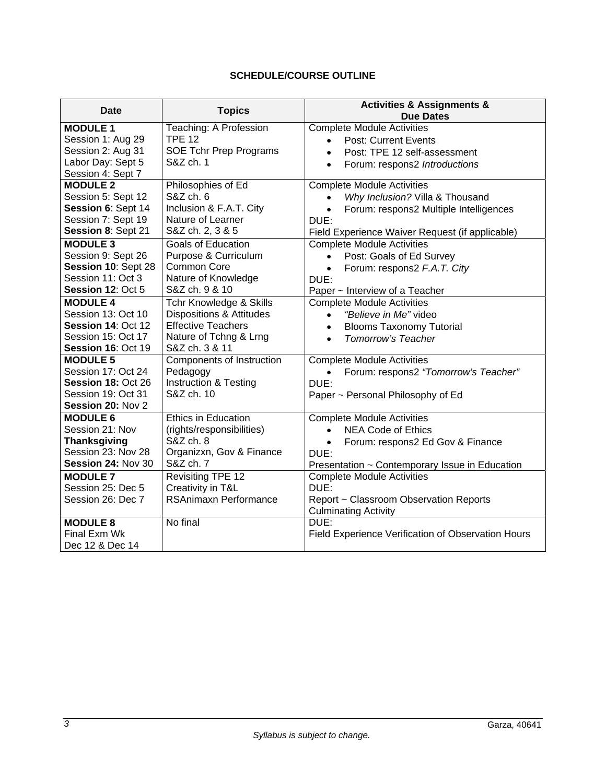# **SCHEDULE/COURSE OUTLINE**

| <b>Date</b>         | <b>Topics</b>                       | <b>Activities &amp; Assignments &amp;</b>           |
|---------------------|-------------------------------------|-----------------------------------------------------|
|                     |                                     | <b>Due Dates</b>                                    |
| <b>MODULE 1</b>     | Teaching: A Profession              | <b>Complete Module Activities</b>                   |
| Session 1: Aug 29   | <b>TPE 12</b>                       | <b>Post: Current Events</b><br>$\bullet$            |
| Session 2: Aug 31   | SOE Tchr Prep Programs              | Post: TPE 12 self-assessment                        |
| Labor Day: Sept 5   | S&Z ch. 1                           | Forum: respons2 Introductions<br>$\bullet$          |
| Session 4: Sept 7   |                                     |                                                     |
| <b>MODULE 2</b>     | Philosophies of Ed                  | <b>Complete Module Activities</b>                   |
| Session 5: Sept 12  | S&Z ch. 6                           | Why Inclusion? Villa & Thousand<br>$\bullet$        |
| Session 6: Sept 14  | Inclusion & F.A.T. City             | Forum: respons2 Multiple Intelligences<br>$\bullet$ |
| Session 7: Sept 19  | Nature of Learner                   | DUE:                                                |
| Session 8: Sept 21  | S&Z ch. 2, 3 & 5                    | Field Experience Waiver Request (if applicable)     |
| <b>MODULE 3</b>     | <b>Goals of Education</b>           | <b>Complete Module Activities</b>                   |
| Session 9: Sept 26  | Purpose & Curriculum                | Post: Goals of Ed Survey<br>$\bullet$               |
| Session 10: Sept 28 | <b>Common Core</b>                  | Forum: respons2 F.A.T. City                         |
| Session 11: Oct 3   | Nature of Knowledge                 | DUE:                                                |
| Session 12: Oct 5   | S&Z ch. 9 & 10                      | Paper ~ Interview of a Teacher                      |
| <b>MODULE 4</b>     | Tchr Knowledge & Skills             | <b>Complete Module Activities</b>                   |
| Session 13: Oct 10  | <b>Dispositions &amp; Attitudes</b> | "Believe in Me" video<br>$\bullet$                  |
| Session 14: Oct 12  | <b>Effective Teachers</b>           | <b>Blooms Taxonomy Tutorial</b><br>$\bullet$        |
| Session 15: Oct 17  | Nature of Tchng & Lrng              | <b>Tomorrow's Teacher</b><br>$\bullet$              |
| Session 16: Oct 19  | S&Z ch. 3 & 11                      |                                                     |
| <b>MODULE 5</b>     | Components of Instruction           | <b>Complete Module Activities</b>                   |
| Session 17: Oct 24  | Pedagogy                            | Forum: respons2 "Tomorrow's Teacher"<br>$\bullet$   |
| Session 18: Oct 26  | <b>Instruction &amp; Testing</b>    | DUE:                                                |
| Session 19: Oct 31  | S&Z ch. 10                          | Paper ~ Personal Philosophy of Ed                   |
| Session 20: Nov 2   |                                     |                                                     |
| <b>MODULE 6</b>     | Ethics in Education                 | <b>Complete Module Activities</b>                   |
| Session 21: Nov     | (rights/responsibilities)           | <b>NEA Code of Ethics</b><br>$\bullet$              |
| <b>Thanksgiving</b> | S&Z ch. 8                           | Forum: respons2 Ed Gov & Finance<br>$\bullet$       |
| Session 23: Nov 28  | Organizxn, Gov & Finance            | DUE:                                                |
| Session 24: Nov 30  | S&Z ch. 7                           | Presentation ~ Contemporary Issue in Education      |
| <b>MODULE 7</b>     | Revisiting TPE 12                   | <b>Complete Module Activities</b>                   |
| Session 25: Dec 5   | Creativity in T&L                   | DUE:                                                |
| Session 26: Dec 7   | RSAnimaxn Performance               | Report ~ Classroom Observation Reports              |
|                     |                                     | <b>Culminating Activity</b>                         |
| <b>MODULE 8</b>     | No final                            | DUE:                                                |
| Final Exm Wk        |                                     | Field Experience Verification of Observation Hours  |
| Dec 12 & Dec 14     |                                     |                                                     |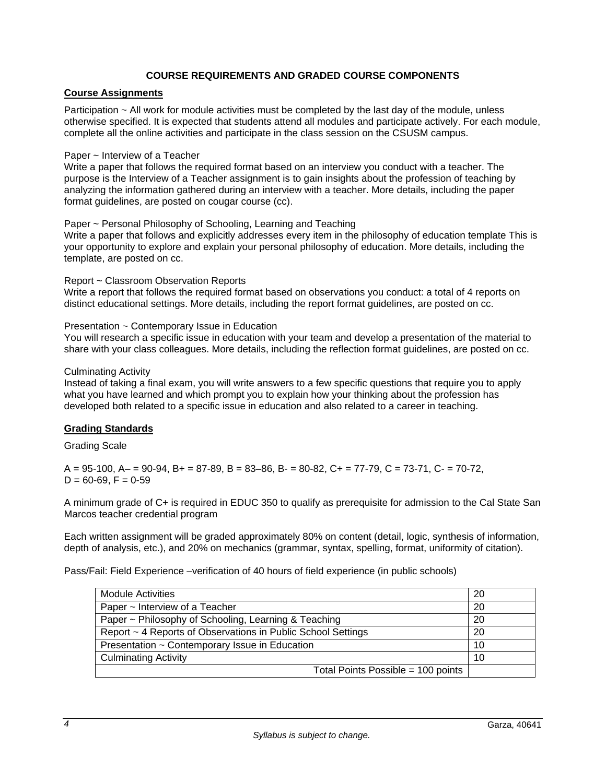## **COURSE REQUIREMENTS AND GRADED COURSE COMPONENTS**

# **Course Assignments**

Participation ~ All work for module activities must be completed by the last day of the module, unless otherwise specified. It is expected that students attend all modules and participate actively. For each module, complete all the online activities and participate in the class session on the CSUSM campus.

#### Paper ~ Interview of a Teacher

Write a paper that follows the required format based on an interview you conduct with a teacher. The purpose is the Interview of a Teacher assignment is to gain insights about the profession of teaching by analyzing the information gathered during an interview with a teacher. More details, including the paper format guidelines, are posted on cougar course (cc).

#### Paper ~ Personal Philosophy of Schooling, Learning and Teaching

Write a paper that follows and explicitly addresses every item in the philosophy of education template This is your opportunity to explore and explain your personal philosophy of education. More details, including the template, are posted on cc.

#### Report ~ Classroom Observation Reports

Write a report that follows the required format based on observations you conduct: a total of 4 reports on distinct educational settings. More details, including the report format guidelines, are posted on cc.

#### Presentation ~ Contemporary Issue in Education

You will research a specific issue in education with your team and develop a presentation of the material to share with your class colleagues. More details, including the reflection format guidelines, are posted on cc.

#### Culminating Activity

Instead of taking a final exam, you will write answers to a few specific questions that require you to apply what you have learned and which prompt you to explain how your thinking about the profession has developed both related to a specific issue in education and also related to a career in teaching.

### **Grading Standards**

#### Grading Scale

 $A = 95-100$ ,  $A = 90-94$ ,  $B = 87-89$ ,  $B = 83-86$ ,  $B = 80-82$ ,  $C = 77-79$ ,  $C = 73-71$ ,  $C = 70-72$ ,  $D = 60 - 69$ ,  $F = 0 - 59$ 

A minimum grade of C+ is required in EDUC 350 to qualify as prerequisite for admission to the Cal State San Marcos teacher credential program

Each written assignment will be graded approximately 80% on content (detail, logic, synthesis of information, depth of analysis, etc.), and 20% on mechanics (grammar, syntax, spelling, format, uniformity of citation).

Pass/Fail: Field Experience –verification of 40 hours of field experience (in public schools)

| <b>Module Activities</b>                                     | 20 |
|--------------------------------------------------------------|----|
| Paper ~ Interview of a Teacher                               | 20 |
| Paper ~ Philosophy of Schooling, Learning & Teaching         | 20 |
| Report ~ 4 Reports of Observations in Public School Settings | 20 |
| Presentation ~ Contemporary Issue in Education               | 10 |
| <b>Culminating Activity</b>                                  | 10 |
| Total Points Possible = 100 points                           |    |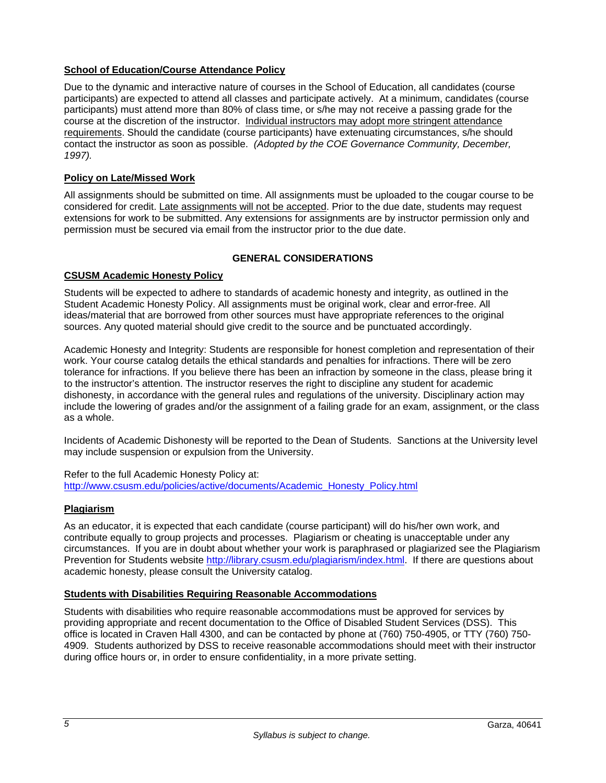# **School of Education/Course Attendance Policy**

Due to the dynamic and interactive nature of courses in the School of Education, all candidates (course participants) are expected to attend all classes and participate actively. At a minimum, candidates (course participants) must attend more than 80% of class time, or s/he may not receive a passing grade for the course at the discretion of the instructor. Individual instructors may adopt more stringent attendance requirements. Should the candidate (course participants) have extenuating circumstances, s/he should contact the instructor as soon as possible. *(Adopted by the COE Governance Community, December, 1997).*

# **Policy on Late/Missed Work**

All assignments should be submitted on time. All assignments must be uploaded to the cougar course to be considered for credit. Late assignments will not be accepted. Prior to the due date, students may request extensions for work to be submitted. Any extensions for assignments are by instructor permission only and permission must be secured via email from the instructor prior to the due date.

# **GENERAL CONSIDERATIONS**

# **CSUSM Academic Honesty Policy**

Students will be expected to adhere to standards of academic honesty and integrity, as outlined in the Student Academic Honesty Policy. All assignments must be original work, clear and error-free. All ideas/material that are borrowed from other sources must have appropriate references to the original sources. Any quoted material should give credit to the source and be punctuated accordingly.

Academic Honesty and Integrity: Students are responsible for honest completion and representation of their work. Your course catalog details the ethical standards and penalties for infractions. There will be zero tolerance for infractions. If you believe there has been an infraction by someone in the class, please bring it to the instructor's attention. The instructor reserves the right to discipline any student for academic dishonesty, in accordance with the general rules and regulations of the university. Disciplinary action may include the lowering of grades and/or the assignment of a failing grade for an exam, assignment, or the class as a whole.

Incidents of Academic Dishonesty will be reported to the Dean of Students. Sanctions at the University level may include suspension or expulsion from the University.

Refer to the full Academic Honesty Policy at: http://www.csusm.edu/policies/active/documents/Academic\_Honesty\_Policy.html

### **Plagiarism**

As an educator, it is expected that each candidate (course participant) will do his/her own work, and contribute equally to group projects and processes. Plagiarism or cheating is unacceptable under any circumstances. If you are in doubt about whether your work is paraphrased or plagiarized see the Plagiarism Prevention for Students website http://library.csusm.edu/plagiarism/index.html. If there are questions about academic honesty, please consult the University catalog.

### **Students with Disabilities Requiring Reasonable Accommodations**

Students with disabilities who require reasonable accommodations must be approved for services by providing appropriate and recent documentation to the Office of Disabled Student Services (DSS). This office is located in Craven Hall 4300, and can be contacted by phone at (760) 750-4905, or TTY (760) 750- 4909. Students authorized by DSS to receive reasonable accommodations should meet with their instructor during office hours or, in order to ensure confidentiality, in a more private setting.